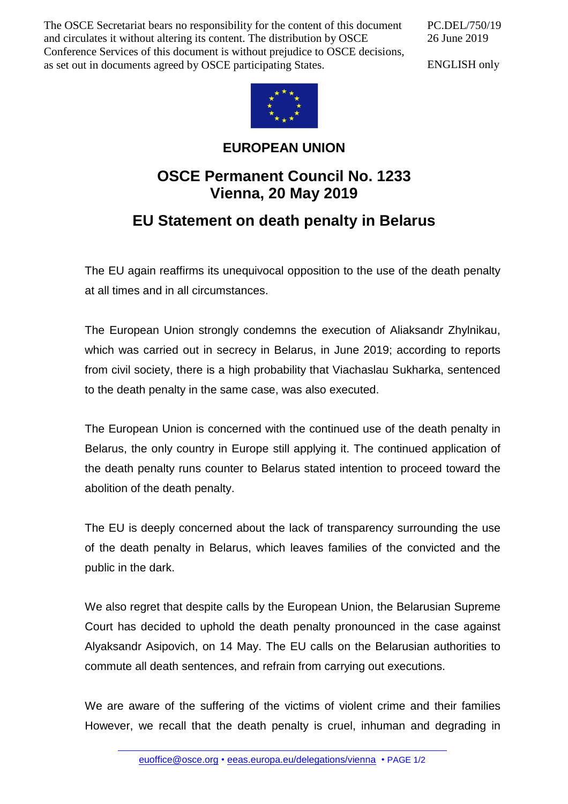The OSCE Secretariat bears no responsibility for the content of this document and circulates it without altering its content. The distribution by OSCE Conference Services of this document is without prejudice to OSCE decisions, as set out in documents agreed by OSCE participating States.

PC.DEL/750/19 26 June 2019

ENGLISH only



## **EUROPEAN UNION**

## **OSCE Permanent Council No. 1233 Vienna, 20 May 2019**

## **EU Statement on death penalty in Belarus**

The EU again reaffirms its unequivocal opposition to the use of the death penalty at all times and in all circumstances.

The European Union strongly condemns the execution of Aliaksandr Zhylnikau, which was carried out in secrecy in Belarus, in June 2019; according to reports from civil society, there is a high probability that Viachaslau Sukharka, sentenced to the death penalty in the same case, was also executed.

The European Union is concerned with the continued use of the death penalty in Belarus, the only country in Europe still applying it. The continued application of the death penalty runs counter to Belarus stated intention to proceed toward the abolition of the death penalty.

The EU is deeply concerned about the lack of transparency surrounding the use of the death penalty in Belarus, which leaves families of the convicted and the public in the dark.

We also regret that despite calls by the European Union, the Belarusian Supreme Court has decided to uphold the death penalty pronounced in the case against Alyaksandr Asipovich, on 14 May. The EU calls on the Belarusian authorities to commute all death sentences, and refrain from carrying out executions.

We are aware of the suffering of the victims of violent crime and their families However, we recall that the death penalty is cruel, inhuman and degrading in